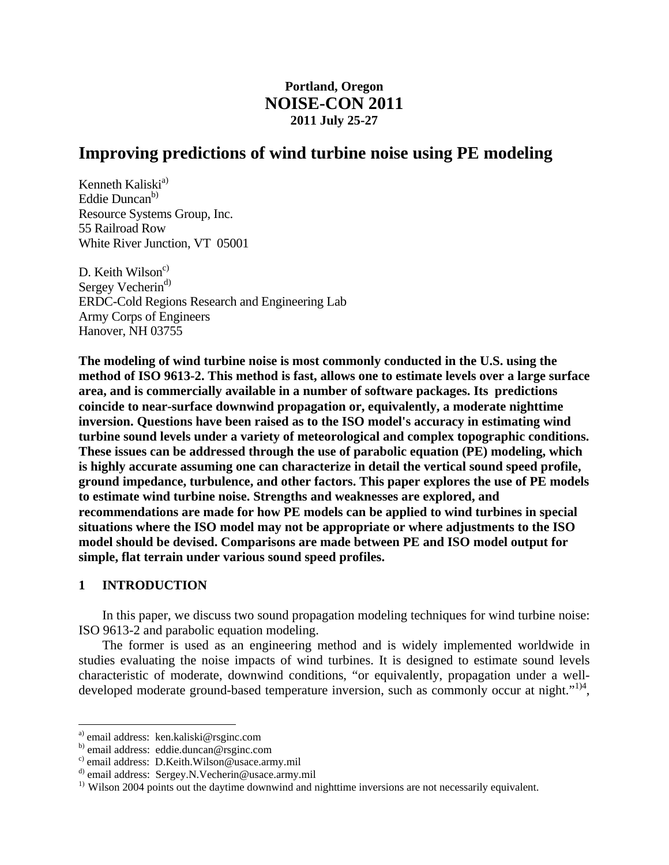# **Portland, Oregon NOISE-CON 2011 2011 July 25-27**

# **Improving predictions of wind turbine noise using PE modeling**

Kenneth Kaliski $a^{(a)}$ Eddie Duncan<sup>b)</sup> Resource Systems Group, Inc. 55 Railroad Row White River Junction, VT 05001

D. Keith Wilson $c<sup>c</sup>$ Sergey Vecherin<sup>d)</sup> ERDC-Cold Regions Research and Engineering Lab Army Corps of Engineers Hanover, NH 03755

**The modeling of wind turbine noise is most commonly conducted in the U.S. using the method of ISO 9613-2. This method is fast, allows one to estimate levels over a large surface area, and is commercially available in a number of software packages. Its predictions coincide to near-surface downwind propagation or, equivalently, a moderate nighttime inversion. Questions have been raised as to the ISO model's accuracy in estimating wind turbine sound levels under a variety of meteorological and complex topographic conditions. These issues can be addressed through the use of parabolic equation (PE) modeling, which is highly accurate assuming one can characterize in detail the vertical sound speed profile, ground impedance, turbulence, and other factors. This paper explores the use of PE models to estimate wind turbine noise. Strengths and weaknesses are explored, and recommendations are made for how PE models can be applied to wind turbines in special situations where the ISO model may not be appropriate or where adjustments to the ISO model should be devised. Comparisons are made between PE and ISO model output for simple, flat terrain under various sound speed profiles.** 

# **1 INTRODUCTION**

1

 In this paper, we discuss two sound propagation modeling techniques for wind turbine noise: ISO 9613-2 and parabolic equation modeling.

 The former is used as an engineering method and is widely implemented worldwide in studies evaluating the noise impacts of wind turbines. It is designed to estimate sound levels characteristic of moderate, downwind conditions, "or equivalently, propagation under a welldeveloped moderate ground-based temperature inversion, such as commonly occur at night."<sup>1)4</sup>,

a) email address: ken.kaliski@rsginc.com

b) email address: eddie.duncan@rsginc.com

c) email address: D.Keith.Wilson@usace.army.mil

d) email address: Sergey.N.Vecherin@usace.army.mil

<sup>&</sup>lt;sup>1)</sup> Wilson 2004 points out the daytime downwind and nighttime inversions are not necessarily equivalent.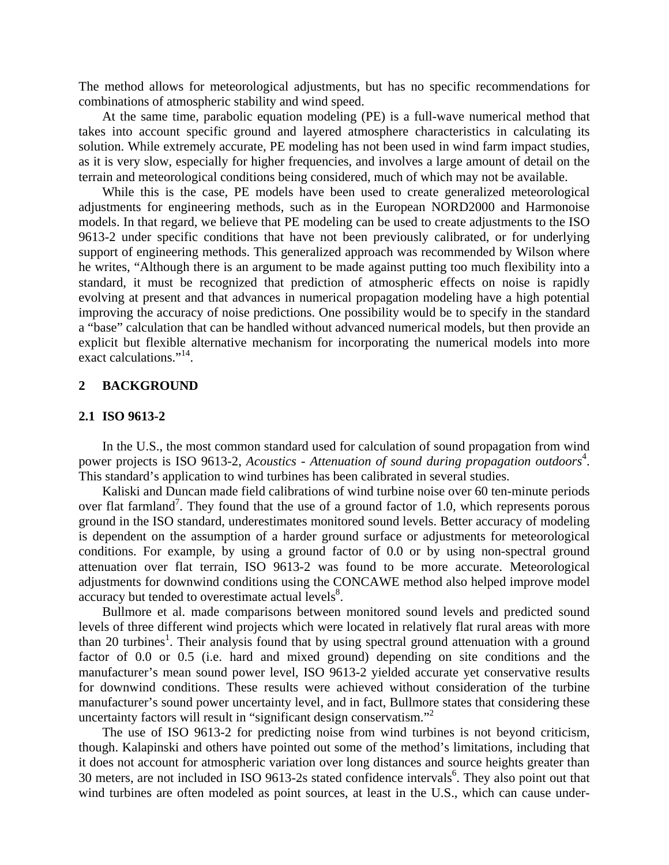The method allows for meteorological adjustments, but has no specific recommendations for combinations of atmospheric stability and wind speed.

 At the same time, parabolic equation modeling (PE) is a full-wave numerical method that takes into account specific ground and layered atmosphere characteristics in calculating its solution. While extremely accurate, PE modeling has not been used in wind farm impact studies, as it is very slow, especially for higher frequencies, and involves a large amount of detail on the terrain and meteorological conditions being considered, much of which may not be available.

 While this is the case, PE models have been used to create generalized meteorological adjustments for engineering methods, such as in the European NORD2000 and Harmonoise models. In that regard, we believe that PE modeling can be used to create adjustments to the ISO 9613-2 under specific conditions that have not been previously calibrated, or for underlying support of engineering methods. This generalized approach was recommended by Wilson where he writes, "Although there is an argument to be made against putting too much flexibility into a standard, it must be recognized that prediction of atmospheric effects on noise is rapidly evolving at present and that advances in numerical propagation modeling have a high potential improving the accuracy of noise predictions. One possibility would be to specify in the standard a "base" calculation that can be handled without advanced numerical models, but then provide an explicit but flexible alternative mechanism for incorporating the numerical models into more exact calculations."<sup>14</sup>.

# **2 BACKGROUND**

### **2.1 ISO 9613-2**

 In the U.S., the most common standard used for calculation of sound propagation from wind power projects is ISO 9613-2, *Acoustics - Attenuation of sound during propagation outdoors*<sup>4</sup>. This standard's application to wind turbines has been calibrated in several studies.

 Kaliski and Duncan made field calibrations of wind turbine noise over 60 ten-minute periods over flat farmland<sup>7</sup>. They found that the use of a ground factor of 1.0, which represents porous ground in the ISO standard, underestimates monitored sound levels. Better accuracy of modeling is dependent on the assumption of a harder ground surface or adjustments for meteorological conditions. For example, by using a ground factor of 0.0 or by using non-spectral ground attenuation over flat terrain, ISO 9613-2 was found to be more accurate. Meteorological adjustments for downwind conditions using the CONCAWE method also helped improve model accuracy but tended to overestimate actual levels $8$ .

 Bullmore et al. made comparisons between monitored sound levels and predicted sound levels of three different wind projects which were located in relatively flat rural areas with more than 20 turbines<sup>1</sup>. Their analysis found that by using spectral ground attenuation with a ground factor of 0.0 or 0.5 (i.e. hard and mixed ground) depending on site conditions and the manufacturer's mean sound power level, ISO 9613-2 yielded accurate yet conservative results for downwind conditions. These results were achieved without consideration of the turbine manufacturer's sound power uncertainty level, and in fact, Bullmore states that considering these uncertainty factors will result in "significant design conservatism."<sup>2</sup>

 The use of ISO 9613-2 for predicting noise from wind turbines is not beyond criticism, though. Kalapinski and others have pointed out some of the method's limitations, including that it does not account for atmospheric variation over long distances and source heights greater than 30 meters, are not included in ISO 9613-2s stated confidence intervals<sup>6</sup>. They also point out that wind turbines are often modeled as point sources, at least in the U.S., which can cause under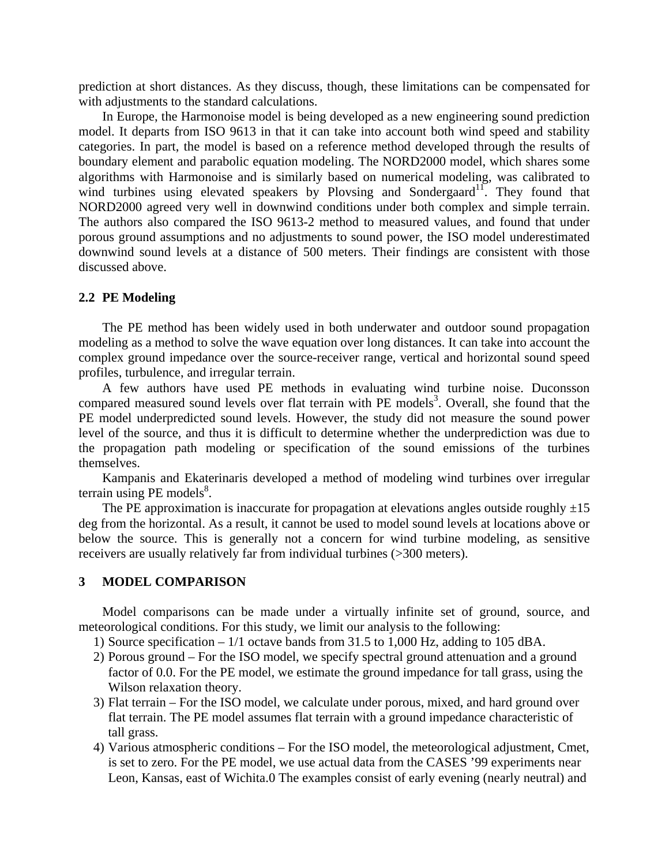prediction at short distances. As they discuss, though, these limitations can be compensated for with adjustments to the standard calculations.

 In Europe, the Harmonoise model is being developed as a new engineering sound prediction model. It departs from ISO 9613 in that it can take into account both wind speed and stability categories. In part, the model is based on a reference method developed through the results of boundary element and parabolic equation modeling. The NORD2000 model, which shares some algorithms with Harmonoise and is similarly based on numerical modeling, was calibrated to wind turbines using elevated speakers by Plovsing and Sondergaard<sup>11</sup>. They found that NORD2000 agreed very well in downwind conditions under both complex and simple terrain. The authors also compared the ISO 9613-2 method to measured values, and found that under porous ground assumptions and no adjustments to sound power, the ISO model underestimated downwind sound levels at a distance of 500 meters. Their findings are consistent with those discussed above.

#### **2.2 PE Modeling**

 The PE method has been widely used in both underwater and outdoor sound propagation modeling as a method to solve the wave equation over long distances. It can take into account the complex ground impedance over the source-receiver range, vertical and horizontal sound speed profiles, turbulence, and irregular terrain.

 A few authors have used PE methods in evaluating wind turbine noise. Duconsson compared measured sound levels over flat terrain with  $PE$  models<sup>3</sup>. Overall, she found that the PE model underpredicted sound levels. However, the study did not measure the sound power level of the source, and thus it is difficult to determine whether the underprediction was due to the propagation path modeling or specification of the sound emissions of the turbines themselves.

 Kampanis and Ekaterinaris developed a method of modeling wind turbines over irregular terrain using PE models $8$ .

The PE approximation is inaccurate for propagation at elevations angles outside roughly  $\pm 15$ deg from the horizontal. As a result, it cannot be used to model sound levels at locations above or below the source. This is generally not a concern for wind turbine modeling, as sensitive receivers are usually relatively far from individual turbines (>300 meters).

# **3 MODEL COMPARISON**

 Model comparisons can be made under a virtually infinite set of ground, source, and meteorological conditions. For this study, we limit our analysis to the following:

1) Source specification  $-1/1$  octave bands from 31.5 to 1,000 Hz, adding to 105 dBA.

- 2) Porous ground For the ISO model, we specify spectral ground attenuation and a ground factor of 0.0. For the PE model, we estimate the ground impedance for tall grass, using the Wilson relaxation theory.
- 3) Flat terrain For the ISO model, we calculate under porous, mixed, and hard ground over flat terrain. The PE model assumes flat terrain with a ground impedance characteristic of tall grass.
- 4) Various atmospheric conditions For the ISO model, the meteorological adjustment, Cmet, is set to zero. For the PE model, we use actual data from the CASES '99 experiments near Leon, Kansas, east of Wichita.0 The examples consist of early evening (nearly neutral) and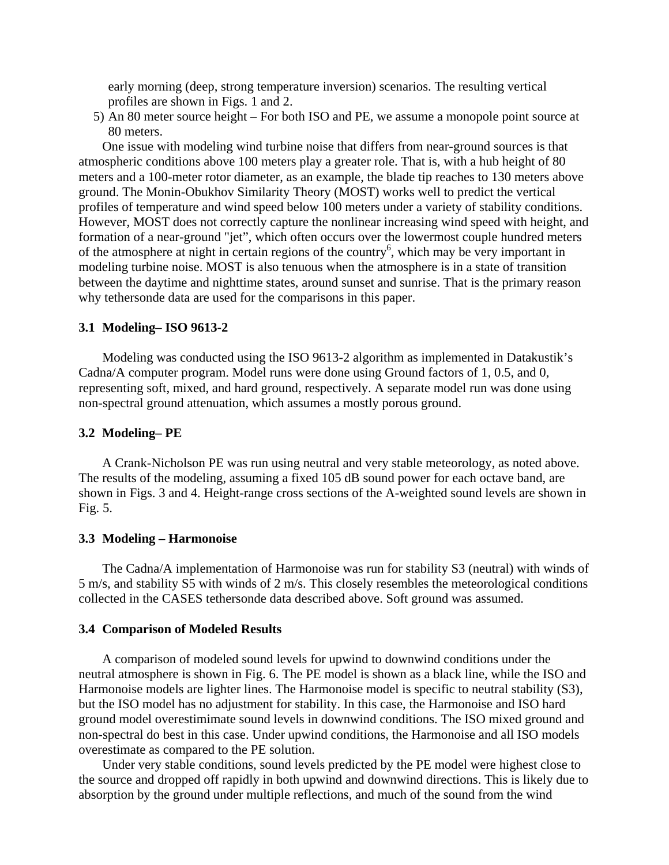early morning (deep, strong temperature inversion) scenarios. The resulting vertical profiles are shown in Figs. 1 and 2.

5) An 80 meter source height – For both ISO and PE, we assume a monopole point source at 80 meters.

 One issue with modeling wind turbine noise that differs from near-ground sources is that atmospheric conditions above 100 meters play a greater role. That is, with a hub height of 80 meters and a 100-meter rotor diameter, as an example, the blade tip reaches to 130 meters above ground. The Monin-Obukhov Similarity Theory (MOST) works well to predict the vertical profiles of temperature and wind speed below 100 meters under a variety of stability conditions. However, MOST does not correctly capture the nonlinear increasing wind speed with height, and formation of a near-ground "jet", which often occurs over the lowermost couple hundred meters of the atmosphere at night in certain regions of the country<sup>6</sup>, which may be very important in modeling turbine noise. MOST is also tenuous when the atmosphere is in a state of transition between the daytime and nighttime states, around sunset and sunrise. That is the primary reason why tethersonde data are used for the comparisons in this paper.

## **3.1 Modeling– ISO 9613-2**

 Modeling was conducted using the ISO 9613-2 algorithm as implemented in Datakustik's Cadna/A computer program. Model runs were done using Ground factors of 1, 0.5, and 0, representing soft, mixed, and hard ground, respectively. A separate model run was done using non-spectral ground attenuation, which assumes a mostly porous ground.

## **3.2 Modeling– PE**

 A Crank-Nicholson PE was run using neutral and very stable meteorology, as noted above. The results of the modeling, assuming a fixed 105 dB sound power for each octave band, are shown in Figs. 3 and 4. Height-range cross sections of the A-weighted sound levels are shown in Fig. 5.

#### **3.3 Modeling – Harmonoise**

 The Cadna/A implementation of Harmonoise was run for stability S3 (neutral) with winds of 5 m/s, and stability S5 with winds of 2 m/s. This closely resembles the meteorological conditions collected in the CASES tethersonde data described above. Soft ground was assumed.

#### **3.4 Comparison of Modeled Results**

 A comparison of modeled sound levels for upwind to downwind conditions under the neutral atmosphere is shown in Fig. 6. The PE model is shown as a black line, while the ISO and Harmonoise models are lighter lines. The Harmonoise model is specific to neutral stability (S3), but the ISO model has no adjustment for stability. In this case, the Harmonoise and ISO hard ground model overestimimate sound levels in downwind conditions. The ISO mixed ground and non-spectral do best in this case. Under upwind conditions, the Harmonoise and all ISO models overestimate as compared to the PE solution.

 Under very stable conditions, sound levels predicted by the PE model were highest close to the source and dropped off rapidly in both upwind and downwind directions. This is likely due to absorption by the ground under multiple reflections, and much of the sound from the wind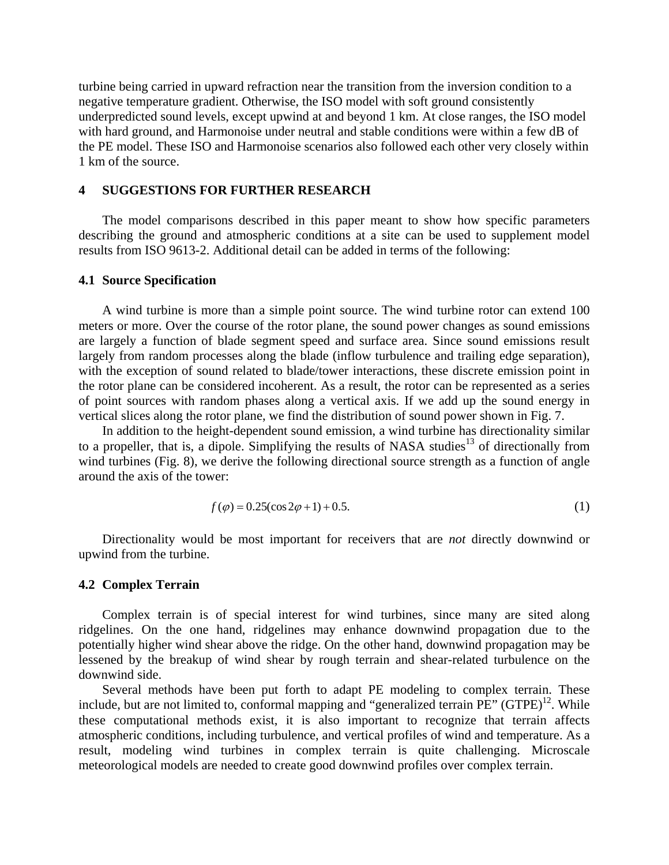turbine being carried in upward refraction near the transition from the inversion condition to a negative temperature gradient. Otherwise, the ISO model with soft ground consistently underpredicted sound levels, except upwind at and beyond 1 km. At close ranges, the ISO model with hard ground, and Harmonoise under neutral and stable conditions were within a few dB of the PE model. These ISO and Harmonoise scenarios also followed each other very closely within 1 km of the source.

# **4 SUGGESTIONS FOR FURTHER RESEARCH**

 The model comparisons described in this paper meant to show how specific parameters describing the ground and atmospheric conditions at a site can be used to supplement model results from ISO 9613-2. Additional detail can be added in terms of the following:

#### **4.1 Source Specification**

 A wind turbine is more than a simple point source. The wind turbine rotor can extend 100 meters or more. Over the course of the rotor plane, the sound power changes as sound emissions are largely a function of blade segment speed and surface area. Since sound emissions result largely from random processes along the blade (inflow turbulence and trailing edge separation), with the exception of sound related to blade/tower interactions, these discrete emission point in the rotor plane can be considered incoherent. As a result, the rotor can be represented as a series of point sources with random phases along a vertical axis. If we add up the sound energy in vertical slices along the rotor plane, we find the distribution of sound power shown in Fig. 7.

 In addition to the height-dependent sound emission, a wind turbine has directionality similar to a propeller, that is, a dipole. Simplifying the results of NASA studies<sup>13</sup> of directionally from wind turbines (Fig. 8), we derive the following directional source strength as a function of angle around the axis of the tower:

$$
f(\varphi) = 0.25(\cos 2\varphi + 1) + 0.5.
$$
 (1)

 Directionality would be most important for receivers that are *not* directly downwind or upwind from the turbine.

## **4.2 Complex Terrain**

 Complex terrain is of special interest for wind turbines, since many are sited along ridgelines. On the one hand, ridgelines may enhance downwind propagation due to the potentially higher wind shear above the ridge. On the other hand, downwind propagation may be lessened by the breakup of wind shear by rough terrain and shear-related turbulence on the downwind side.

 Several methods have been put forth to adapt PE modeling to complex terrain. These include, but are not limited to, conformal mapping and "generalized terrain  $\overrightarrow{PE}$ " (GTPE)<sup>12</sup>. While these computational methods exist, it is also important to recognize that terrain affects atmospheric conditions, including turbulence, and vertical profiles of wind and temperature. As a result, modeling wind turbines in complex terrain is quite challenging. Microscale meteorological models are needed to create good downwind profiles over complex terrain.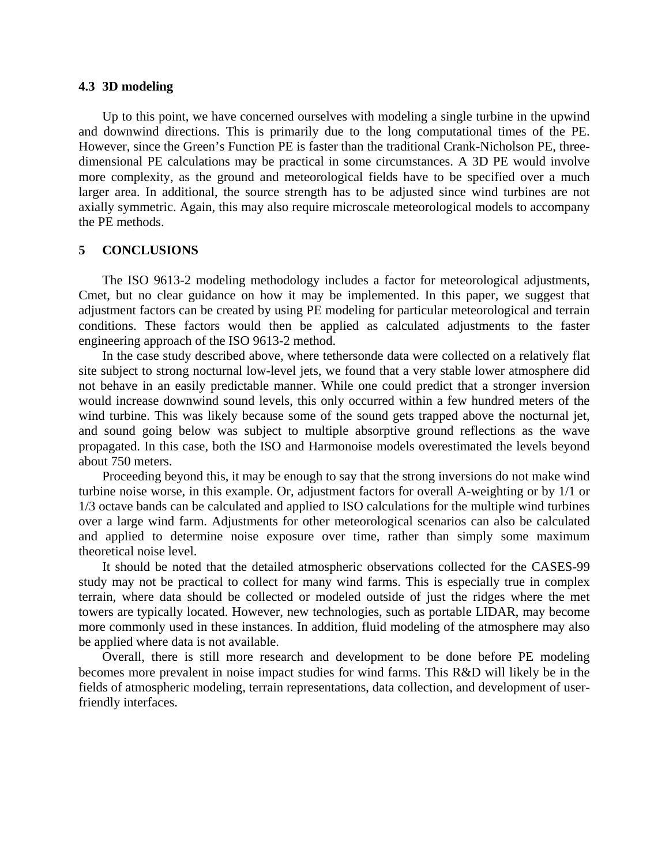# **4.3 3D modeling**

 Up to this point, we have concerned ourselves with modeling a single turbine in the upwind and downwind directions. This is primarily due to the long computational times of the PE. However, since the Green's Function PE is faster than the traditional Crank-Nicholson PE, threedimensional PE calculations may be practical in some circumstances. A 3D PE would involve more complexity, as the ground and meteorological fields have to be specified over a much larger area. In additional, the source strength has to be adjusted since wind turbines are not axially symmetric. Again, this may also require microscale meteorological models to accompany the PE methods.

# **5 CONCLUSIONS**

 The ISO 9613-2 modeling methodology includes a factor for meteorological adjustments, Cmet, but no clear guidance on how it may be implemented. In this paper, we suggest that adjustment factors can be created by using PE modeling for particular meteorological and terrain conditions. These factors would then be applied as calculated adjustments to the faster engineering approach of the ISO 9613-2 method.

 In the case study described above, where tethersonde data were collected on a relatively flat site subject to strong nocturnal low-level jets, we found that a very stable lower atmosphere did not behave in an easily predictable manner. While one could predict that a stronger inversion would increase downwind sound levels, this only occurred within a few hundred meters of the wind turbine. This was likely because some of the sound gets trapped above the nocturnal jet, and sound going below was subject to multiple absorptive ground reflections as the wave propagated. In this case, both the ISO and Harmonoise models overestimated the levels beyond about 750 meters.

 Proceeding beyond this, it may be enough to say that the strong inversions do not make wind turbine noise worse, in this example. Or, adjustment factors for overall A-weighting or by 1/1 or 1/3 octave bands can be calculated and applied to ISO calculations for the multiple wind turbines over a large wind farm. Adjustments for other meteorological scenarios can also be calculated and applied to determine noise exposure over time, rather than simply some maximum theoretical noise level.

 It should be noted that the detailed atmospheric observations collected for the CASES-99 study may not be practical to collect for many wind farms. This is especially true in complex terrain, where data should be collected or modeled outside of just the ridges where the met towers are typically located. However, new technologies, such as portable LIDAR, may become more commonly used in these instances. In addition, fluid modeling of the atmosphere may also be applied where data is not available.

 Overall, there is still more research and development to be done before PE modeling becomes more prevalent in noise impact studies for wind farms. This R&D will likely be in the fields of atmospheric modeling, terrain representations, data collection, and development of userfriendly interfaces.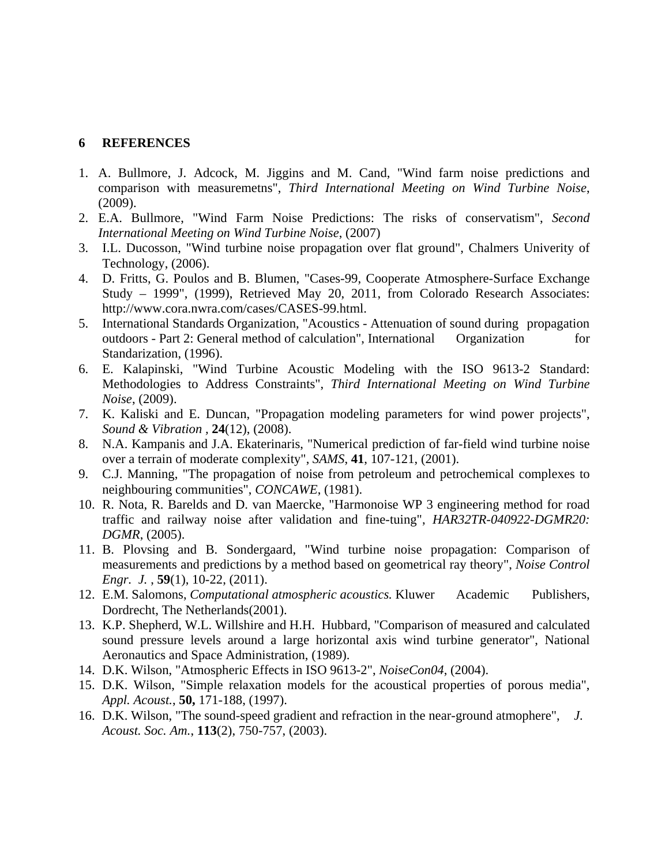# **6 REFERENCES**

- 1. A. Bullmore, J. Adcock, M. Jiggins and M. Cand, "Wind farm noise predictions and comparison with measuremetns", *Third International Meeting on Wind Turbine Noise*, (2009).
- 2. E.A. Bullmore, "Wind Farm Noise Predictions: The risks of conservatism", *Second International Meeting on Wind Turbine Noise*, (2007)
- 3. I.L. Ducosson, "Wind turbine noise propagation over flat ground", Chalmers Univerity of Technology, (2006).
- 4. D. Fritts, G. Poulos and B. Blumen, "Cases-99, Cooperate Atmosphere-Surface Exchange Study – 1999", (1999), Retrieved May 20, 2011, from Colorado Research Associates: http://www.cora.nwra.com/cases/CASES-99.html.
- 5. International Standards Organization, "Acoustics Attenuation of sound during propagation outdoors - Part 2: General method of calculation", International Organization for Standarization, (1996).
- 6. E. Kalapinski, "Wind Turbine Acoustic Modeling with the ISO 9613-2 Standard: Methodologies to Address Constraints", *Third International Meeting on Wind Turbine Noise*, (2009).
- 7. K. Kaliski and E. Duncan, "Propagation modeling parameters for wind power projects", *Sound & Vibration ,* **24**(12), (2008).
- 8. N.A. Kampanis and J.A. Ekaterinaris, "Numerical prediction of far-field wind turbine noise over a terrain of moderate complexity", *SAMS*, **41**, 107-121, (2001).
- 9. C.J. Manning, "The propagation of noise from petroleum and petrochemical complexes to neighbouring communities", *CONCAWE*, (1981).
- 10. R. Nota, R. Barelds and D. van Maercke, "Harmonoise WP 3 engineering method for road traffic and railway noise after validation and fine-tuing", *HAR32TR-040922-DGMR20: DGMR*, (2005).
- 11. B. Plovsing and B. Sondergaard, "Wind turbine noise propagation: Comparison of measurements and predictions by a method based on geometrical ray theory", *Noise Control Engr. J.* , **59**(1), 10-22, (2011).
- 12. E.M. Salomons, *Computational atmospheric acoustics.* Kluwer Academic Publishers, Dordrecht, The Netherlands(2001).
- 13. K.P. Shepherd, W.L. Willshire and H.H. Hubbard, "Comparison of measured and calculated sound pressure levels around a large horizontal axis wind turbine generator", National Aeronautics and Space Administration, (1989).
- 14. D.K. Wilson, "Atmospheric Effects in ISO 9613-2", *NoiseCon04*, (2004).
- 15. D.K. Wilson, "Simple relaxation models for the acoustical properties of porous media", *Appl. Acoust.*, **50,** 171-188, (1997).
- 16. D.K. Wilson, "The sound-speed gradient and refraction in the near-ground atmophere", *J. Acoust. Soc. Am.*, **113**(2), 750-757, (2003).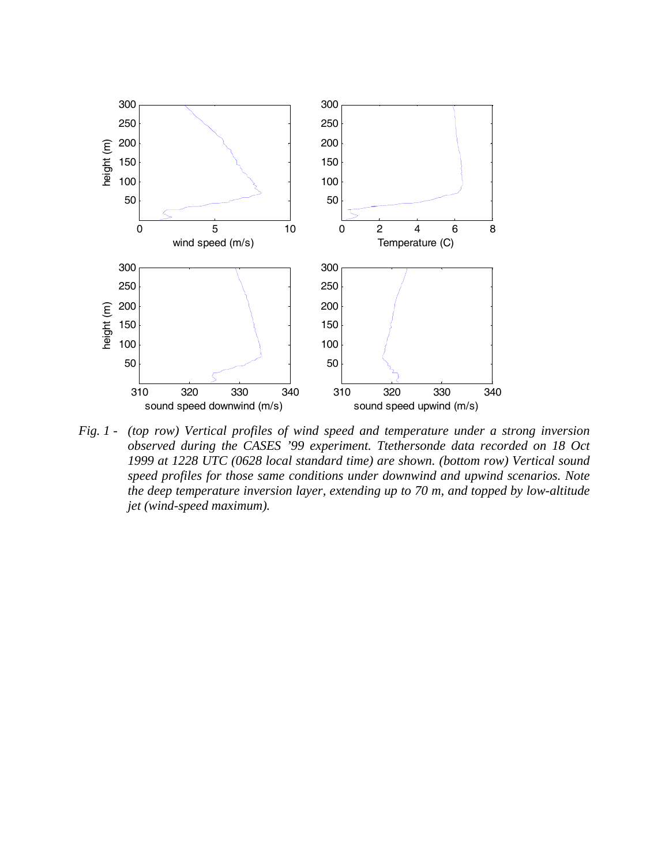

*Fig. 1 - (top row) Vertical profiles of wind speed and temperature under a strong inversion observed during the CASES '99 experiment. Ttethersonde data recorded on 18 Oct 1999 at 1228 UTC (0628 local standard time) are shown. (bottom row) Vertical sound speed profiles for those same conditions under downwind and upwind scenarios. Note the deep temperature inversion layer, extending up to 70 m, and topped by low-altitude jet (wind-speed maximum).*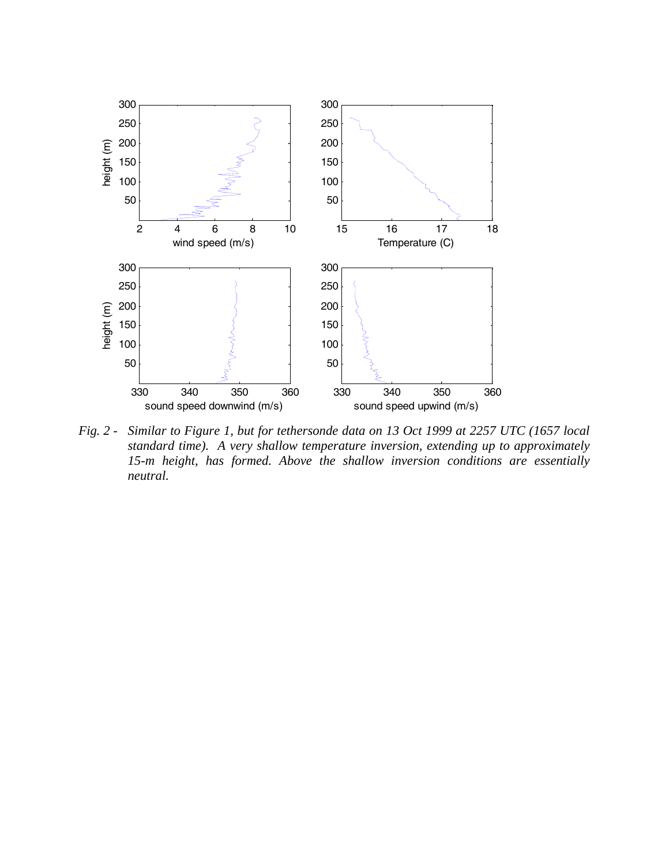

*Fig. 2 - Similar to Figure 1, but for tethersonde data on 13 Oct 1999 at 2257 UTC (1657 local standard time). A very shallow temperature inversion, extending up to approximately 15-m height, has formed. Above the shallow inversion conditions are essentially neutral.*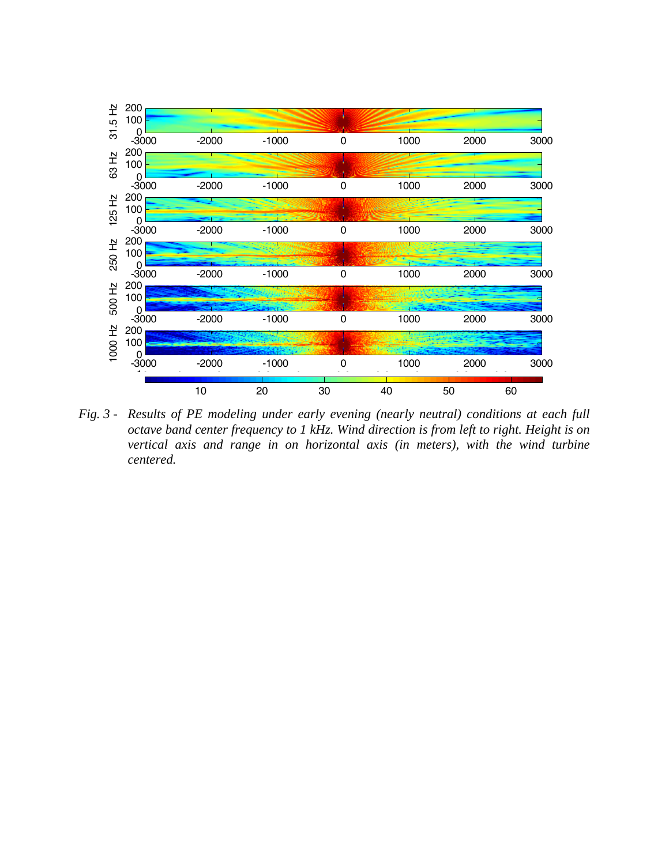

*Fig. 3 - Results of PE modeling under early evening (nearly neutral) conditions at each full octave band center frequency to 1 kHz. Wind direction is from left to right. Height is on vertical axis and range in on horizontal axis (in meters), with the wind turbine centered.*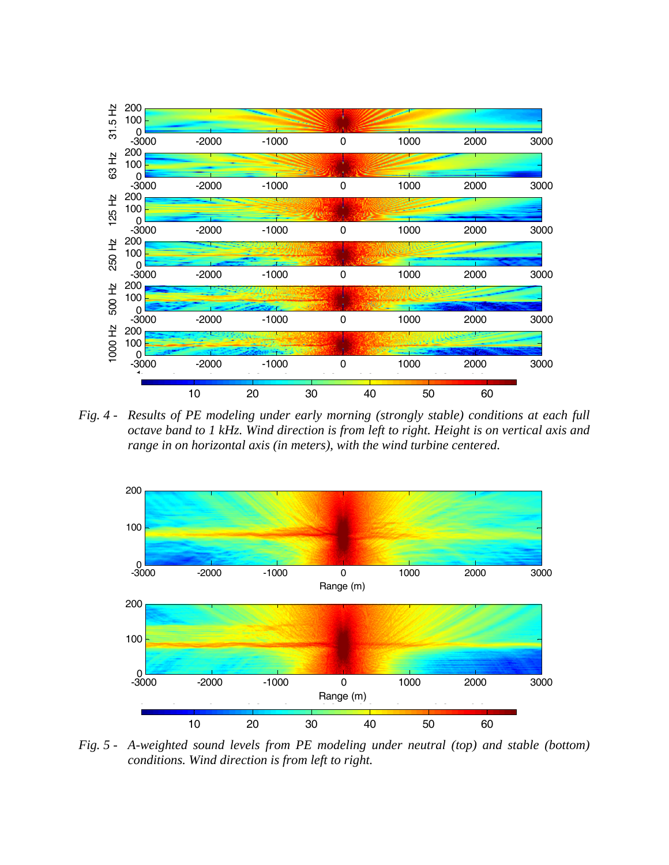

*Fig. 4 - Results of PE modeling under early morning (strongly stable) conditions at each full octave band to 1 kHz. Wind direction is from left to right. Height is on vertical axis and range in on horizontal axis (in meters), with the wind turbine centered.* 



*Fig. 5 - A-weighted sound levels from PE modeling under neutral (top) and stable (bottom) conditions. Wind direction is from left to right.*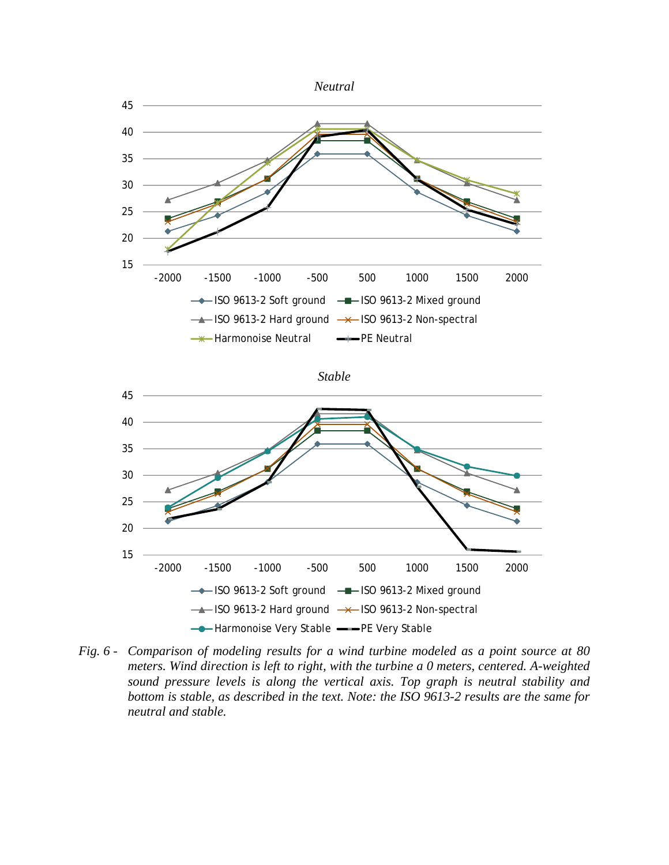





*Fig. 6 - Comparison of modeling results for a wind turbine modeled as a point source at 80 meters. Wind direction is left to right, with the turbine a 0 meters, centered. A-weighted sound pressure levels is along the vertical axis. Top graph is neutral stability and bottom is stable, as described in the text. Note: the ISO 9613-2 results are the same for neutral and stable.*